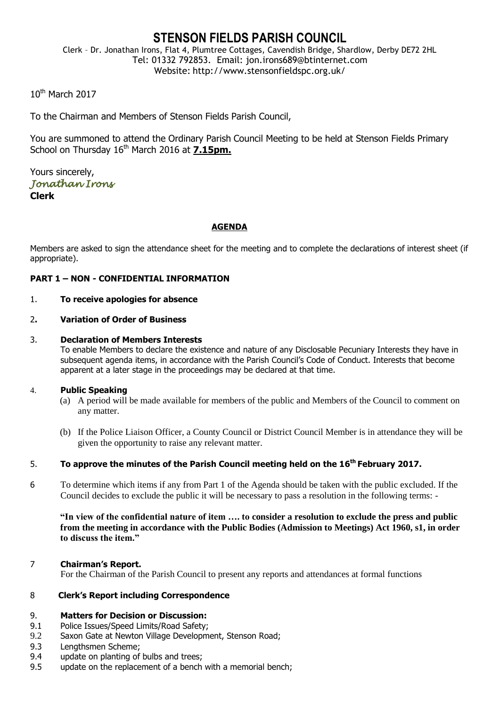# **STENSON FIELDS PARISH COUNCIL**

Clerk – Dr. Jonathan Irons, Flat 4, Plumtree Cottages, Cavendish Bridge, Shardlow, Derby DE72 2HL Tel: 01332 792853. Email: jon.irons689@btinternet.com Website: http://www.stensonfieldspc.org.uk/

10th March 2017

To the Chairman and Members of Stenson Fields Parish Council,

You are summoned to attend the Ordinary Parish Council Meeting to be held at Stenson Fields Primary School on Thursday 16<sup>th</sup> March 2016 at 7.15pm.

Yours sincerely, *Jonathan Irons*  **Clerk**

#### **AGENDA**

Members are asked to sign the attendance sheet for the meeting and to complete the declarations of interest sheet (if appropriate).

#### **PART 1 – NON - CONFIDENTIAL INFORMATION**

#### 1. **To receive apologies for absence**

#### 2**. Variation of Order of Business**

#### 3. **Declaration of Members Interests**

To enable Members to declare the existence and nature of any Disclosable Pecuniary Interests they have in subsequent agenda items, in accordance with the Parish Council's Code of Conduct. Interests that become apparent at a later stage in the proceedings may be declared at that time.

#### 4. **Public Speaking**

- (a) A period will be made available for members of the public and Members of the Council to comment on any matter.
- (b) If the Police Liaison Officer, a County Council or District Council Member is in attendance they will be given the opportunity to raise any relevant matter.

### 5. **To approve the minutes of the Parish Council meeting held on the 16th February 2017.**

6 To determine which items if any from Part 1 of the Agenda should be taken with the public excluded. If the Council decides to exclude the public it will be necessary to pass a resolution in the following terms: -

**"In view of the confidential nature of item …. to consider a resolution to exclude the press and public from the meeting in accordance with the Public Bodies (Admission to Meetings) Act 1960, s1, in order to discuss the item."** 

#### 7 **Chairman's Report.**

For the Chairman of the Parish Council to present any reports and attendances at formal functions

#### 8 **Clerk's Report including Correspondence**

#### 9. **Matters for Decision or Discussion:**

- 9.1 Police Issues/Speed Limits/Road Safety;
- 9.2 Saxon Gate at Newton Village Development, Stenson Road;
- 9.3 Lengthsmen Scheme;
- 9.4 update on planting of bulbs and trees;
- 9.5 update on the replacement of a bench with a memorial bench;